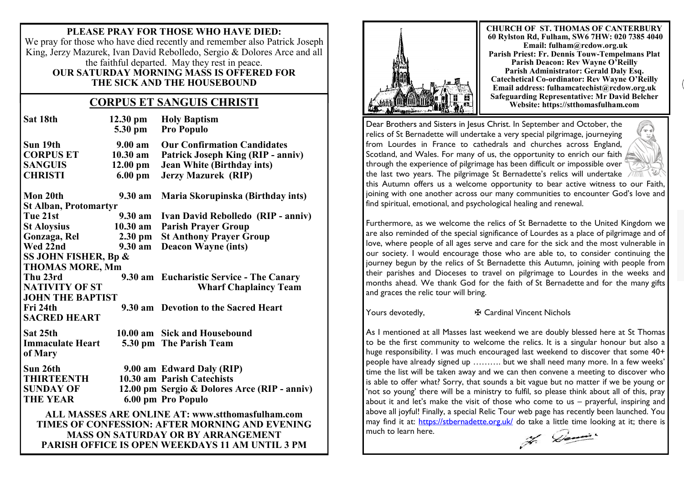**PLEASE PRAY FOR THOSE WHO HAVE DIED:** We pray for those who have died recently and remember also Patrick Joseph King, Jerzy Mazurek, Ivan David Rebolledo, Sergio & Dolores Arce and all the faithful departed. May they rest in peace. **OUR SATURDAY MORNING MASS IS OFFERED FOR THE SICK AND THE HOUSEBOUND**

## **Safeguarding Representative: Mr David Belleville CORPUS ET SANGUIS CHRISTI Website: https://stthomasfulham.com**

| Sat 18th                                                                                                                                                                                                         | $12.30 \text{ pm}$<br>5.30 pm | <b>Holy Baptism</b><br><b>Pro Populo</b>     |
|------------------------------------------------------------------------------------------------------------------------------------------------------------------------------------------------------------------|-------------------------------|----------------------------------------------|
| Sun 19th                                                                                                                                                                                                         | $9.00 \text{ am}$             | <b>Our Confirmation Candidates</b>           |
| <b>CORPUS ET</b>                                                                                                                                                                                                 | $10.30$ am                    | Patrick Joseph King (RIP - anniv)            |
| <b>SANGUIS</b>                                                                                                                                                                                                   | $12.00 \text{ pm}$            | <b>Jean White (Birthday ints)</b>            |
| <b>CHRISTI</b>                                                                                                                                                                                                   | $6.00$ pm                     | <b>Jerzy Mazurek (RIP)</b>                   |
| Mon 20th                                                                                                                                                                                                         | 9.30 am                       | Maria Skorupinska (Birthday ints)            |
| <b>St Alban, Protomartyr</b>                                                                                                                                                                                     |                               |                                              |
| Tue 21st                                                                                                                                                                                                         | 9.30 am                       | Ivan David Rebolledo (RIP - anniv)           |
| <b>St Aloysius</b>                                                                                                                                                                                               | 10.30 am                      | <b>Parish Prayer Group</b>                   |
| Gonzaga, Rel                                                                                                                                                                                                     | 2.30 pm                       | <b>St Anthony Prayer Group</b>               |
| Wed 22nd                                                                                                                                                                                                         | $9.30 a$ m                    | <b>Deacon Wayne (ints)</b>                   |
| SS JOHN FISHER, Bp &                                                                                                                                                                                             |                               |                                              |
| <b>THOMAS MORE, Mm</b>                                                                                                                                                                                           |                               |                                              |
| Thu 23rd                                                                                                                                                                                                         |                               | 9.30 am Eucharistic Service - The Canary     |
| <b>NATIVITY OF ST</b>                                                                                                                                                                                            |                               | <b>Wharf Chaplaincy Team</b>                 |
| <b>JOHN THE BAPTIST</b>                                                                                                                                                                                          |                               |                                              |
| Fri 24th                                                                                                                                                                                                         |                               | 9.30 am Devotion to the Sacred Heart         |
| <b>SACRED HEART</b>                                                                                                                                                                                              |                               |                                              |
| Sat 25th                                                                                                                                                                                                         | 10.00 am                      | <b>Sick and Housebound</b>                   |
| <b>Immaculate Heart</b>                                                                                                                                                                                          |                               | 5.30 pm The Parish Team                      |
| of Mary                                                                                                                                                                                                          |                               |                                              |
| Sun 26th                                                                                                                                                                                                         |                               | 9.00 am Edward Daly (RIP)                    |
| <b>THIRTEENTH</b>                                                                                                                                                                                                |                               | 10.30 am Parish Catechists                   |
| <b>SUNDAY OF</b>                                                                                                                                                                                                 |                               | 12.00 pm Sergio & Dolores Arce (RIP - anniv) |
| <b>THE YEAR</b>                                                                                                                                                                                                  |                               | 6.00 pm Pro Populo                           |
| <b>ALL MASSES ARE ONLINE AT: www.stthomasfulham.com</b><br>TIMES OF CONFESSION: AFTER MORNING AND EVENING<br><b>MASS ON SATURDAY OR BY ARRANGEMENT</b><br><b>PARISH OFFICE IS OPEN WEEKDAYS 11 AM UNTIL 3 PM</b> |                               |                                              |



**CHURCH OF ST. THOMAS OF CANTERBURY 60 Rylston Rd, Fulham, SW6 7HW: 020 7385 4040 Email: fulham@rcdow.org.uk Parish Priest: Fr. Dennis Touw-Tempelmans Plat Parish Deacon: Rev Wayne O'Reilly Parish Administrator: Gerald Daly Esq. Catechetical Co-ordinator: Rev Wayne O'Reilly Email address: fulhamcatechist@rcdow.org.uk**

Dear Brothers and Sisters in Jesus Christ. In September and October, the relics of St Bernadette will undertake a very special pilgrimage, journeying from Lourdes in France to cathedrals and churches across England, Scotland, and Wales. For many of us, the opportunity to enrich our faith through the experience of pilgrimage has been difficult or impossible over the last two years. The pilgrimage St Bernadette's relics will undertake



this Autumn offers us a welcome opportunity to bear active witness to our Faith, joining with one another across our many communities to encounter God's love and find spiritual, emotional, and psychological healing and renewal.

Furthermore, as we welcome the relics of St Bernadette to the United Kingdom we are also reminded of the special significance of Lourdes as a place of pilgrimage and of love, where people of all ages serve and care for the sick and the most vulnerable in our society. I would encourage those who are able to, to consider continuing the journey begun by the relics of St Bernadette this Autumn, joining with people from their parishes and Dioceses to travel on pilgrimage to Lourdes in the weeks and months ahead. We thank God for the faith of St Bernadette and for the many gifts and graces the relic tour will bring.

Yours devotedly, **very 4 F** Cardinal Vincent Nichols

As I mentioned at all Masses last weekend we are doubly blessed here at St Thomas to be the first community to welcome the relics. It is a singular honour but also a huge responsibility. I was much encouraged last weekend to discover that some 40+ people have already signed up ………. but we shall need many more. In a few weeks' time the list will be taken away and we can then convene a meeting to discover who is able to offer what? Sorry, that sounds a bit vague but no matter if we be young or 'not so young' there will be a ministry to fulfil, so please think about all of this, pray about it and let's make the visit of those who come to us – prayerful, inspiring and above all joyful! Finally, a special Relic Tour web page has recently been launched. You may find it at: <https://stbernadette.org.uk/> do take a little time looking at it; there is much to learn here.

7. Demi